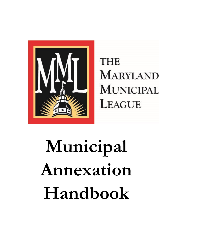

**THE MARYLAND MUNICIPAL** LEAGUE

# **Municipal Annexation Handbook**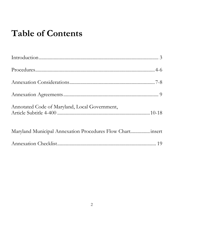# **Table of Contents**

| Annotated Code of Maryland, Local Government,              |  |
|------------------------------------------------------------|--|
| Maryland Municipal Annexation Procedures Flow Chart insert |  |
|                                                            |  |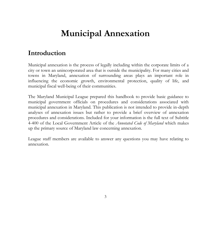# **Municipal Annexation**

## **Introduction**

Municipal annexation is the process of legally including within the corporate limits of a city or town an unincorporated area that is outside the municipality. For many cities and towns in Maryland, annexation of surrounding areas plays an important role in influencing the economic growth, environmental protection, quality of life, and municipal fiscal well-being of their communities.

The Maryland Municipal League prepared this handbook to provide basic guidance to municipal government officials on procedures and considerations associated with municipal annexation in Maryland. This publication is not intended to provide in-depth analyses of annexation issues but rather to provide a brief overview of annexation procedures and considerations. Included for your information is the full text of Subtitle 4-400 of the Local Government Article of the *Annotated Code of Maryland* which makes up the primary source of Maryland law concerning annexation.

League staff members are available to answer any questions you may have relating to annexation.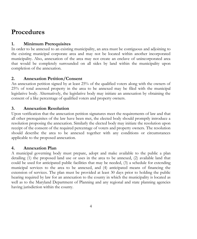## **Procedures**

#### **1. Minimum Prerequisites**

In order to be annexed to an existing municipality, an area must be contiguous and adjoining to the existing municipal corporate area and may not be located within another incorporated municipality. Also, annexation of the area may not create an enclave of unincorporated area that would be completely surrounded on all sides by land within the municipality upon completion of the annexation.

#### **2. Annexation Petition/Consent**

An annexation petition signed by at least 25% of the qualified voters along with the owners of 25% of total assessed property in the area to be annexed may be filed with the municipal legislative body. Alternatively, the legislative body may initiate an annexation by obtaining the consent of a like percentage of qualified voters and property owners.

#### **3. Annexation Resolution**

Upon verification that the annexation petition signatures meet the requirements of law and that all other prerequisites of the law have been met, the elected body should promptly introduce a resolution proposing the annexation. Similarly the elected body may initiate the resolution upon receipt of the consent of the required percentage of voters and property owners. The resolution should describe the area to be annexed together with any conditions or circumstances applicable to the proposed annexation.

#### **4. Annexation Plan**

A municipal governing body must prepare, adopt and make available to the public a plan detailing (1) the proposed land use or uses in the area to be annexed, (2) available land that could be used for anticipated public facilities that may be needed, (3) a schedule for extending municipal services to the area to be annexed, and (4) anticipated means of financing the extension of services. The plan must be provided at least 30 days prior to holding the public hearing required by law for an annexation to the county in which the municipality is located as well as to the Maryland Department of Planning and any regional and state planning agencies having jurisdiction within the county.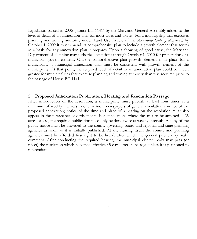Legislation passed in 2006 (House Bill 1141) by the Maryland General Assembly added to the level of detail of an annexation plan for most cities and towns. For a municipality that exercises planning and zoning authority under Land Use Article of the *Annotated Code of Maryland*, by October 1, 2009 it must amend its comprehensive plan to include a growth element that serves as a basis for any annexation plan it prepares. Upon a showing of good cause, the Maryland Department of Planning may authorize extensions through October 1, 2010 for preparation of a municipal growth element. Once a comprehensive plan growth element is in place for a municipality, a municipal annexation plan must be consistent with growth element of the municipality. At that point, the required level of detail in an annexation plan could be much greater for municipalities that exercise planning and zoning authority than was required prior to the passage of House Bill 1141.

#### **5. Proposed Annexation Publication, Hearing and Resolution Passage**

After introduction of the resolution, a municipality must publish at least four times at a minimum of weekly intervals in one or more newspapers of general circulation a notice of the proposed annexation; notice of the time and place of a hearing on the resolution must also appear in the newspaper advertisements. For annexations where the area to be annexed is 25 acres or less, the required publication need only be done twice at weekly intervals. A copy of the public notice must be provided to the county governing board and regional and state planning agencies as soon as it is initially published. At the hearing itself, the county and planning agencies must be afforded first right to be heard, after which the general public may make comment. After conducting the required hearing, the municipal elected body may pass (or reject) the resolution which becomes effective 45 days after its passage unless it is petitioned to referendum.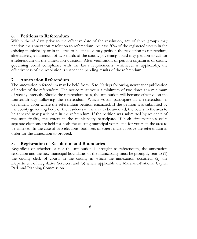#### **6. Petitions to Referendum**

Within the 45 days prior to the effective date of the resolution, any of three groups may petition the annexation resolution to referendum. At least 20% of the registered voters in the existing municipality or in the area to be annexed may petition the resolution to referendum; alternatively, a minimum of two-thirds of the county governing board may petition to call for a referendum on the annexation question. After verification of petition signatures or county governing board compliance with the law's requirements (whichever is applicable), the effectiveness of the resolution is suspended pending results of the referendum.

#### **7. Annexation Referendum**

The annexation referendum may be held from 15 to 90 days following newspaper publication of notice of the referendum. The notice must occur a minimum of two times at a minimum of weekly intervals. Should the referendum pass, the annexation will become effective on the fourteenth day following the referendum. Which voters participate in a referendum is dependent upon where the referendum petition emanated. If the petition was submitted by the county governing body or the residents in the area to be annexed, the voters in the area to be annexed may participate in the referendum. If the petition was submitted by residents of the municipality, the voters in the municipality participate. If both circumstances exist, separate elections are held for both the existing municipal voters and for voters in the area to be annexed. In the case of two elections, both sets of voters must approve the referendum in order for the annexation to proceed.

#### **8. Registration of Resolution and Boundaries**

Regardless of whether or not the annexation is brought to referendum, the annexation resolution and the new municipal boundaries of the municipality must be promptly sent to (1) the county clerk of courts in the county in which the annexation occurred, (2) the Department of Legislative Services, and (3) where applicable the Maryland-National Capital Park and Planning Commission.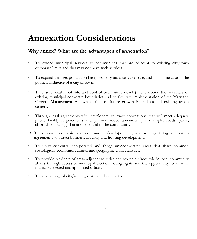## **Annexation Considerations**

#### **Why annex? What are the advantages of annexation?**

- To extend municipal services to communities that are adjacent to existing city/town corporate limits and that may not have such services.
- To expand the size, population base, property tax assessable base, and—in some cases—the political influence of a city or town.
- To ensure local input into and control over future development around the periphery of existing municipal corporate boundaries and to facilitate implementation of the Maryland Growth Management Act which focuses future growth in and around existing urban centers.
- Through legal agreements with developers, to exact concessions that will meet adequate public facility requirements and provide added amenities (for example: roads, parks, affordable housing) that are beneficial to the community.
- To support economic and community development goals by negotiating annexation agreements to attract business, industry and housing development.
- To unify currently incorporated and fringe unincorporated areas that share common sociological, economic, cultural, and geographic characteristics.
- To provide residents of areas adjacent to cities and towns a direct role in local community affairs through access to municipal election voting rights and the opportunity to serve in municipal elected and appointed offices.
- To achieve logical city/town growth and boundaries.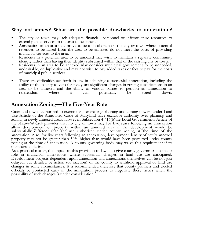#### **Why not annex? What are the possible drawbacks to annexation?**

- The city or town may lack adequate financial, personnel or infrastructure resources to extend public services to the area to be annexed.
- Annexation of an area may prove to be a fiscal drain on the city or town where potential revenues to be raised from the area to be annexed do not meet the costs of providing municipal services to the area.
- Residents in a potential area to be annexed may wish to maintain a separate community identity rather than having their identity subsumed within that of the existing city or town.
- Residents in an area to be annexed may consider municipal government to be unneeded, undesirable, or duplicative and may not wish to pay added taxes or fees to pay for the costs of municipal public services.
- There are difficulties set forth in law in achieving a successful annexation, including the ability of the county to veto for five years significant changes in zoning classifications in an area to be annexed and the ability of various parties to petition an annexation to referendum where it can potentially be voted down. referendum where it can potentially be voted down.

#### **Annexation Zoning—The Five-Year Rule**

Cities and towns authorized to exercise and exercising planning and zoning powers under Land Use Article of the Annotated Code of Maryland have exclusive authority over planning and zoning in newly annexed areas. However, Subsection 4-416(b)the Local Governments Article of the *Annotated Code* provides that no city or town may for five years following an annexation allow development of property within an annexed area if the development would be substantially different than the use authorized under county zoning at the time of the annexation. Also, for five years following an annexation, development density of newly annexed property may not be greater than 50% higher than would have been permitted under county zoning at the time of annexation. A county governing body may waive this requirement if its members so desire.

As a practical matter, the impact of this provision of law is to give county governments a major role in municipal annexations where substantial changes in land use are anticipated. Development projects dependent upon annexation and annexations themselves can be not just delayed, but derailed by action (or inaction) of the county to withhold approval of land use changes in some circumstances. It is recommended therefore that county planners and elected officials be contacted early in the annexation process to negotiate these issues when the possibility of such changes is under consideration.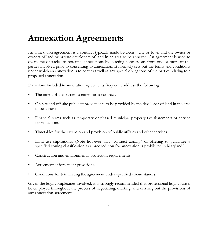## **Annexation Agreements**

An annexation agreement is a contract typically made between a city or town and the owner or owners of land or private developers of land in an area to be annexed. An agreement is used to overcome obstacles to potential annexations by exacting concessions from one or more of the parties involved prior to consenting to annexation. It normally sets out the terms and conditions under which an annexation is to occur as well as any special obligations of the parties relating to a proposed annexation.

Provisions included in annexation agreements frequently address the following:

- The intent of the parties to enter into a contract.
- On-site and off-site public improvements to be provided by the developer of land in the area to be annexed.
- Financial terms such as temporary or phased municipal property tax abatements or service fee reductions.
- Timetables for the extension and provision of public utilities and other services.
- Land use stipulations. (Note however that "contract zoning" or offering to guarantee a specified zoning classification as a precondition for annexation is prohibited in Maryland.)
- Construction and environmental protection requirements.
- Agreement enforcement provisions.
- Conditions for terminating the agreement under specified circumstances.

Given the legal complexities involved, it is strongly recommended that professional legal counsel be employed throughout the process of negotiating, drafting, and carrying out the provisions of any annexation agreement.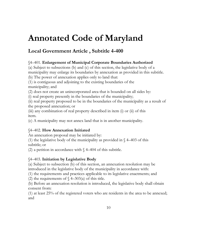## **Annotated Code of Maryland**

### **Local Government Article , Subtitle 4-400**

#### §4–401. **Enlargement of Municipal Corporate Boundaries Authorized**

(a) Subject to subsections (b) and (c) of this section, the legislative body of a municipality may enlarge its boundaries by annexation as provided in this subtitle.

(b) The power of annexation applies only to land that:

(1) is contiguous and adjoining to the existing boundaries of the municipality; and

(2) does not create an unincorporated area that is bounded on all sides by:

(i) real property presently in the boundaries of the municipality;

(ii) real property proposed to be in the boundaries of the municipality as a result of the proposed annexation; or

(iii) any combination of real property described in item (i) or (ii) of this item.

(c) A municipality may not annex land that is in another municipality.

#### §4–402. **How Annexation Initiated**

An annexation proposal may be initiated by:

(1) the legislative body of the municipality as provided in  $\sqrt{4-403}$  of this subtitle; or

(2) a petition in accordance with  $\sqrt{4-404}$  of this subtitle.

#### §4–403. **Initiation by Legislative Body**

(a) Subject to subsection (b) of this section, an annexation resolution may be introduced in the legislative body of the municipality in accordance with:

(1) the requirements and practices applicable to its legislative enactments; and

(2) the requirements of  $\sqrt{4-303(a)}$  of this title.

(b) Before an annexation resolution is introduced, the legislative body shall obtain consent from:

(1) at least 25% of the registered voters who are residents in the area to be annexed; and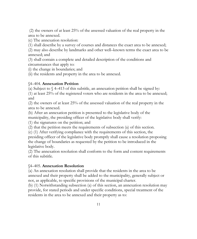(2) the owners of at least 25% of the assessed valuation of the real property in the area to be annexed.

(c) The annexation resolution:

(1) shall describe by a survey of courses and distances the exact area to be annexed;

(2) may also describe by landmarks and other well–known terms the exact area to be annexed; and

(3) shall contain a complete and detailed description of the conditions and circumstances that apply to:

(i) the change in boundaries; and

(ii) the residents and property in the area to be annexed.

#### §4–404. **Annexation Petition**

(a) Subject to  $\sqrt{4-413}$  of this subtitle, an annexation petition shall be signed by:

(1) at least 25% of the registered voters who are residents in the area to be annexed; and

(2) the owners of at least 25% of the assessed valuation of the real property in the area to be annexed.

(b) After an annexation petition is presented to the legislative body of the municipality, the presiding officer of the legislative body shall verify:

(1) the signatures on the petition; and

(2) that the petition meets the requirements of subsection (a) of this section.

(c) (1) After verifying compliance with the requirements of this section, the

presiding officer of the legislative body promptly shall cause a resolution proposing the change of boundaries as requested by the petition to be introduced in the legislative body.

(2) The annexation resolution shall conform to the form and content requirements of this subtitle.

#### §4–405. **Annexation Resolution**

(a) An annexation resolution shall provide that the residents in the area to be annexed and their property shall be added to the municipality, generally subject or not, as applicable, to specific provisions of the municipal charter.

(b) (1) Notwithstanding subsection (a) of this section, an annexation resolution may provide, for stated periods and under specific conditions, special treatment of the residents in the area to be annexed and their property as to: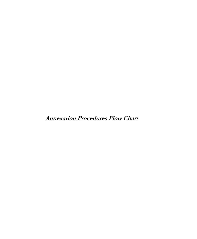**Annexation Procedures Flow Chart**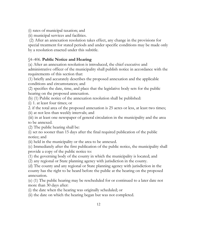(i) rates of municipal taxation; and

(ii) municipal services and facilities.

(2) After an annexation resolution takes effect, any change in the provisions for special treatment for stated periods and under specific conditions may be made only by a resolution enacted under this subtitle.

#### §4–406. **Public Notice and Hearing**

(a) After an annexation resolution is introduced, the chief executive and administrative officer of the municipality shall publish notice in accordance with the requirements of this section that:

(1) briefly and accurately describes the proposed annexation and the applicable conditions and circumstances; and

(2) specifies the date, time, and place that the legislative body sets for the public hearing on the proposed annexation.

(b) (1) Public notice of the annexation resolution shall be published:

(i) 1. at least four times; or

2. if the total area of the proposed annexation is 25 acres or less, at least two times; (ii) at not less than weekly intervals; and

(iii) in at least one newspaper of general circulation in the municipality and the area to be annexed.

(2) The public hearing shall be:

(i) set no sooner than 15 days after the final required publication of the public notice; and

(ii) held in the municipality or the area to be annexed.

(c) Immediately after the first publication of the public notice, the municipality shall provide a copy of the public notice to:

(1) the governing body of the county in which the municipality is located; and

(2) any regional or State planning agency with jurisdiction in the county.

(d) The county and any regional or State planning agency with jurisdiction in the county has the right to be heard before the public at the hearing on the proposed annexation.

(e) (1) The public hearing may be rescheduled for or continued to a later date not more than 30 days after:

(i) the date when the hearing was originally scheduled; or

(ii) the date on which the hearing began but was not completed.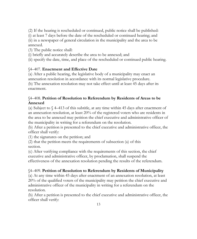(2) If the hearing is rescheduled or continued, public notice shall be published:

(i) at least 7 days before the date of the rescheduled or continued hearing; and (ii) in a newspaper of general circulation in the municipality and the area to be

#### annexed.

(3) The public notice shall:

(i) briefly and accurately describe the area to be annexed; and

(ii) specify the date, time, and place of the rescheduled or continued public hearing.

#### §4–407. **Enactment and Effective Date**

(a) After a public hearing, the legislative body of a municipality may enact an annexation resolution in accordance with its normal legislative procedure. (b) The annexation resolution may not take effect until at least 45 days after its enactment.

#### §4–408. **Petition of Resolution to Referendum by Residents of Areas to be Annexed**

(a) Subject to  $\sqrt{4-413}$  of this subtitle, at any time within 45 days after enactment of an annexation resolution, at least 20% of the registered voters who are residents in the area to be annexed may petition the chief executive and administrative officer of the municipality in writing for a referendum on the resolution.

(b) After a petition is presented to the chief executive and administrative officer, the officer shall verify:

(1) the signatures on the petition; and

(2) that the petition meets the requirements of subsection (a) of this section.

(c) After verifying compliance with the requirements of this section, the chief executive and administrative officer, by proclamation, shall suspend the effectiveness of the annexation resolution pending the results of the referendum.

#### §4–409. **Petition of Resolution to Referendum by Residents of Municipality**

(a) At any time within 45 days after enactment of an annexation resolution, at least 20% of the qualified voters of the municipality may petition the chief executive and administrative officer of the municipality in writing for a referendum on the resolution.

(b) After a petition is presented to the chief executive and administrative officer, the officer shall verify: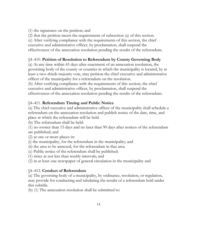(1) the signatures on the petition; and

(2) that the petition meets the requirements of subsection (a) of this section.

(c) After verifying compliance with the requirements of this section, the chief

executive and administrative officer, by proclamation, shall suspend the

effectiveness of the annexation resolution pending the results of the referendum.

#### §4–410. **Petition of Resolution to Referendum by County Governing Body**

(a) At any time within 45 days after enactment of an annexation resolution, the governing body of the county or counties in which the municipality is located, by at least a two–thirds majority vote, may petition the chief executive and administrative officer of the municipality for a referendum on the resolution.

(b) After verifying compliance with the requirements of this section, the chief executive and administrative officer, by proclamation, shall suspend the effectiveness of the annexation resolution pending the results of the referendum.

#### §4–411. **Referendum Timing and Public Notice**

(a) The chief executive and administrative officer of the municipality shall schedule a referendum on the annexation resolution and publish notice of the date, time, and place at which the referendum will be held.

(b) The referendum shall be held:

(1) no sooner than 15 days and no later than 90 days after notices of the referendum are published; and

- (2) at one or more places in:
- (i) the municipality, for the referendum in the municipality; and
- (ii) the area to be annexed, for the referendum in that area.
- (c) Public notice of the referendum shall be published:
- (1) twice at not less than weekly intervals; and
- (2) in at least one newspaper of general circulation in the municipality and

#### §4–412. **Conduct of Referendum**

(a) The governing body of a municipality, by ordinance, resolution, or regulation, may provide for conducting and tabulating the results of a referendum held under this subtitle.

(b) (1) The annexation resolution shall be submitted to: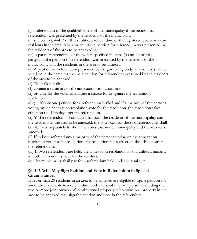(i) a referendum of the qualified voters of the municipality if the petition for referendum was presented by the residents of the municipality;

(ii) subject to  $\sqrt{4-413}$  of this subtitle, a referendum of the registered voters who are residents in the area to be annexed if the petition for referendum was presented by the residents of the area to be annexed; or

(iii) separate referendums of the voters specified in items (i) and (ii) of this paragraph if a petition for referendum was presented by the residents of the municipality and the residents in the area to be annexed.

(2) A petition for referendum presented by the governing body of a county shall be acted on in the same manner as a petition for referendum presented by the residents of the area to be annexed.

(c) The ballot shall:

(1) contain a summary of the annexation resolution; and

(2) provide for the voter to indicate a choice for or against the annexation resolution.

(d) (1) If only one petition for a referendum is filed and if a majority of the persons voting on the annexation resolution vote for the resolution, the resolution takes effect on the 14th day after the referendum.

(2) (i) If a referendum is conducted for both the residents of the municipality and the residents in the area to be annexed, the votes cast for the two referendums shall be tabulated separately to show the votes cast in the municipality and the area to be annexed.

(ii) If in both referendums a majority of the persons voting on the annexation resolution vote for the resolution, the resolution takes effect on the 14th day after the referendum.

(iii) If two referendums are held, the annexation resolution is void unless a majority in both referendums vote for the resolution.

(e) The municipality shall pay for a referendum held under this subtitle.

#### §4–413. **Who May Sign Petition and Vote in Referendum in Special Circumstances**

If fewer than 20 residents in an area to be annexed are eligible to sign a petition for annexation and vote in a referendum under this subtitle, any person, including the two or more joint owners of jointly owned property, who owns real property in the area to be annexed may sign the petition and vote in the referendum.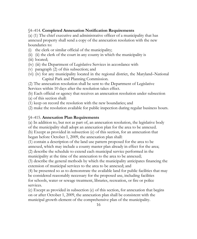#### §4–414. **Completed Annexation Notification Requirements**

(a) (1) The chief executive and administrative officer of a municipality that has annexed property shall send a copy of the annexation resolution with the new boundaries to:

- (i) the clerk or similar official of the municipality;
- (ii) (ii) the clerk of the court in any county in which the municipality is
- (iii) located;
- (iv) (iii) the Department of Legislative Services in accordance with
- (v) paragraph (2) of this subsection; and
- (vi) (iv) for any municipality located in the regional district, the Maryland–National Capital Park and Planning Commission.

(2) The annexation resolution shall be sent to the Department of Legislative Services within 10 days after the resolution takes effect.

(b) Each official or agency that receives an annexation resolution under subsection

- (a) of this section shall:
- (1) keep on record the resolution with the new boundaries; and

(2) make the resolution available for public inspection during regular business hours.

#### §4–415. **Annexation Plan Requirements**

(a) In addition to, but not as part of, an annexation resolution, the legislative body of the municipality shall adopt an annexation plan for the area to be annexed.

(b) Except as provided in subsection (e) of this section, for an annexation that began before October 1, 2009, the annexation plan shall:

(1) contain a description of the land use pattern proposed for the area to be annexed, which may include a county master plan already in effect for the area; (2) describe the schedule to extend each municipal service performed in the

municipality at the time of the annexation to the area to be annexed;

(3) describe the general methods by which the municipality anticipates financing the extension of municipal services to the area to be annexed; and

(4) be presented so as to demonstrate the available land for public facilities that may be considered reasonably necessary for the proposed use, including facilities for schools, water or sewage treatment, libraries, recreation, or fire or police services.

(c) Except as provided in subsection (e) of this section, for annexation that begins on or after October 1, 2009, the annexation plan shall be consistent with the municipal growth element of the comprehensive plan of the municipality.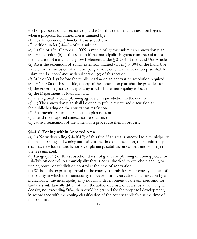(d) For purposes of subsections (b) and (c) of this section, an annexation begins when a proposal for annexation is initiated by:

(1) resolution under § 4–403 of this subtitle; or

(2) petition under  $\sqrt{4-404}$  of this subtitle.

(e) (1) On or after October 1, 2009, a municipality may submit an annexation plan under subsection (b) of this section if the municipality is granted an extension for the inclusion of a municipal growth element under § 3–304 of the Land Use Article. (2) After the expiration of a final extension granted under § 3–304 of the Land Use Article for the inclusion of a municipal growth element, an annexation plan shall be submitted in accordance with subsection (c) of this section.

(f) At least 30 days before the public hearing on an annexation resolution required under § 4–406 of this subtitle, a copy of the annexation plan shall be provided to:

(1) the governing body of any county in which the municipality is located;

(2) the Department of Planning; and

(3) any regional or State planning agency with jurisdiction in the county.

(g) (1) The annexation plan shall be open to public review and discussion at

the public hearing on the annexation resolution.

(2) An amendment to the annexation plan does not:

(i) amend the proposed annexation resolution; or

(ii) cause a reinitiation of the annexation procedure then in process.

#### §4–416. **Zoning within Annexed Area**

(a) (1) Notwithstanding  $\ell$  4–104(f) of this title, if an area is annexed to a municipality that has planning and zoning authority at the time of annexation, the municipality shall have exclusive jurisdiction over planning, subdivision control, and zoning in the area annexed.

(2) Paragraph (1) of this subsection does not grant any planning or zoning power or subdivision control to a municipality that is not authorized to exercise planning or zoning power or subdivision control at the time of annexation.

(b) Without the express approval of the county commissioners or county council of the county in which the municipality is located, for 5 years after an annexation by a municipality, the municipality may not allow development of the annexed land for land uses substantially different than the authorized use, or at a substantially higher density, not exceeding 50%, than could be granted for the proposed development, in accordance with the zoning classification of the county applicable at the time of the annexation.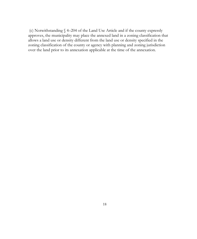(c) Notwithstanding § 4–204 of the Land Use Article and if the county expressly approves, the municipality may place the annexed land in a zoning classification that allows a land use or density different from the land use or density specified in the zoning classification of the county or agency with planning and zoning jurisdiction over the land prior to its annexation applicable at the time of the annexation.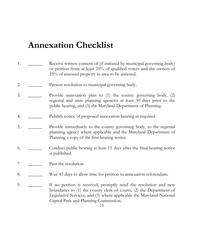# **Annexation Checklist**

| 1. | Receive written consent of (if initiated by municipal governing body)<br>or petition from at least 25% of qualified voters and the owners of<br>25% of assessed property in area to be annexed.                                                          |
|----|----------------------------------------------------------------------------------------------------------------------------------------------------------------------------------------------------------------------------------------------------------|
| 2. | Present resolution to municipal governing body.                                                                                                                                                                                                          |
| 3. | Provide annexation plan to $(1)$ the county governing body, $(2)$<br>regional and state planning agencies at least 30 days prior to the<br>public hearing, and (3) the Maryland Department of Planning.                                                  |
| 4. | Publish notice of proposed annexation hearing as required.                                                                                                                                                                                               |
| 5. | Provide immediately to the county governing body, to the regional<br>planning agency where applicable and the Maryland Department of<br>Planning a copy of the first hearing notice.                                                                     |
| 6. | Conduct public hearing at least 15 days after the final hearing notice<br>is published.                                                                                                                                                                  |
| 7. | Pass the resolution.                                                                                                                                                                                                                                     |
| 8. | Wait 45 days to allow time for petition to annexation referendum.                                                                                                                                                                                        |
| 9. | If no petition is received, promptly send the resolution and new<br>boundaries to (1) the county clerk of courts, (2) the Department of<br>Legislative Services, and (3) where applicable the Maryland-National<br>Capital Park and Planning Commission. |